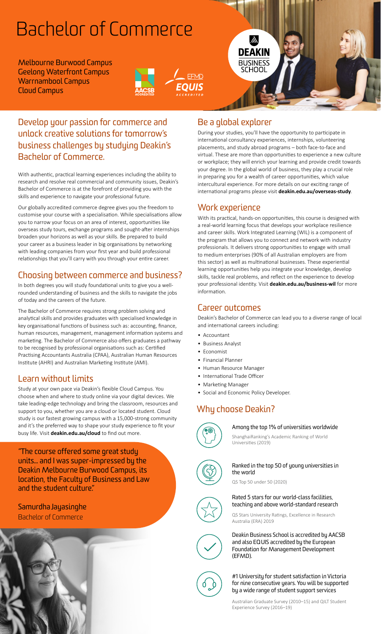# Bachelor of Commerce

Melbourne Burwood Campus Geelong Waterfront Campus Warrnambool Campus Cloud Campus





#### Develop your passion for commerce and unlock creative solutions for tomorrow's business challenges by studying Deakin's Bachelor of Commerce.

With authentic, practical learning experiences including the ability to research and resolve real commercial and community issues, Deakin's Bachelor of Commerce is at the forefront of providing you with the skills and experience to navigate your professional future.

Our globally accredited commerce degree gives you the freedom to customise your course with a specialisation. While specialisations allow you to narrow your focus on an area of interest, opportunities like overseas study tours, exchange programs and sought-after internships broaden your horizons as well as your skills. Be prepared to build your career as a business leader in big organisations by networking with leading companies from your first year and build professional relationships that you'll carry with you through your entire career.

#### Choosing between commerce and business?

In both degrees you will study foundational units to give you a wellrounded understanding of business and the skills to navigate the jobs of today and the careers of the future.

The Bachelor of Commerce requires strong problem solving and analytical skills and provides graduates with specialised knowledge in key organisational functions of business such as: accounting, finance, human resources, management, management information systems and marketing. The Bachelor of Commerce also offers graduates a pathway to be recognised by professional organisations such as: Certified Practising Accountants Australia (CPAA), Australian Human Resources Institute (AHRI) and Australian Marketing Institute (AMI).

#### Learn without limits

Study at your own pace via Deakin's flexible Cloud Campus. You choose when and where to study online via your digital devices. We take leading-edge technology and bring the classroom, resources and support to you, whether you are a cloud or located student. Cloud study is our fastest growing campus with a 15,000-strong community and it's the preferred way to shape your study experience to fit your busy life. Visit **[deakin.edu.au/cloud](https://deakin.edu.au/cloud)** to find out more.

"The course offered some great study units... and I was super-impressed by the Deakin Melbourne Burwood Campus, its location, the Faculty of Business and Law and the student culture."

Samurdha Jayasinghe Bachelor of Commerce



#### Be a global explorer

During your studies, you'll have the opportunity to participate in international consultancy experiences, internships, volunteering placements, and study abroad programs – both face-to-face and virtual. These are more than opportunities to experience a new culture or workplace; they will enrich your learning and provide credit towards your degree. In the global world of business, they play a crucial role in preparing you for a wealth of career opportunities, which value intercultural experience. For more details on our exciting range of international programs please visit **[deakin.edu.au/overseas-study](https://deakin.edu.au/overseas-study)**.

#### Work experience

With its practical, hands-on opportunities, this course is designed with a real-world learning focus that develops your workplace resilience and career skills. Work Integrated Learning (WIL) is a component of the program that allows you to connect and network with industry professionals. It delivers strong opportunities to engage with small to medium enterprises (90% of all Australian employers are from this sector) as well as multinational businesses. These experiential learning opportunities help you integrate your knowledge, develop skills, tackle real problems, and reflect on the experience to develop your professional identity. Visit **[deakin.edu.au/business-wil](https://deakin.edu.au/business-wil)** for more information.

#### Career outcomes

Deakin's Bachelor of Commerce can lead you to a diverse range of local and international careers including:

- Accountant
- Business Analyst
- Economist
- Financial Planner
- Human Resource Manager
- International Trade Officer
- Marketing Manager
- Social and Economic Policy Developer.

# Why choose Deakin?



#### Among the top 1% of universities worldwide

ShanghaiRanking's Academic Ranking of World Universities (2019)

the world

Ranked in the top 50 of young universities in

QS Top 50 under 50 (2020)

#### Rated 5 stars for our world-class facilities, teaching and above world-standard research

QS Stars University Ratings, Excellence in Research Australia (ERA) 2019

Deakin Business School is accredited by AACSB and also EQUIS accredited by the European Foundation for Management Development (EFMD).



#1 University for student satisfaction in Victoria for nine consecutive years. You will be supported by a wide range of student support services

Australian Graduate Survey (2010–15) and QILT Student Experience Survey (2016–19)